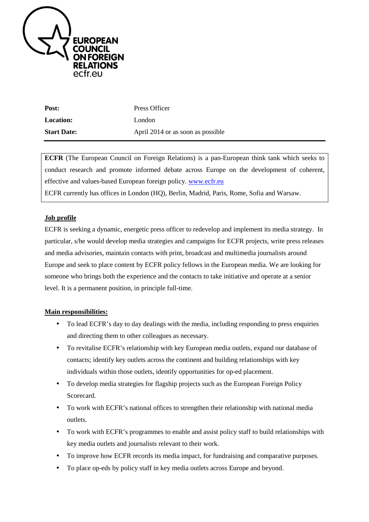

| Post:              | Press Officer                     |
|--------------------|-----------------------------------|
| <b>Location:</b>   | London                            |
| <b>Start Date:</b> | April 2014 or as soon as possible |

**ECFR** (The European Council on Foreign Relations) is a pan-European think tank which seeks to conduct research and promote informed debate across Europe on the development of coherent, effective and values-based European foreign policy. www.ecfr.eu ECFR currently has offices in London (HQ), Berlin, Madrid, Paris, Rome, Sofia and Warsaw.

# **Job profile**

ECFR is seeking a dynamic, energetic press officer to redevelop and implement its media strategy. In particular, s/he would develop media strategies and campaigns for ECFR projects, write press releases and media advisories, maintain contacts with print, broadcast and multimedia journalists around Europe and seek to place content by ECFR policy fellows in the European media. We are looking for someone who brings both the experience and the contacts to take initiative and operate at a senior level. It is a permanent position, in principle full-time.

## **Main responsibilities:**

- To lead ECFR's day to day dealings with the media, including responding to press enquiries and directing them to other colleagues as necessary.
- To revitalise ECFR's relationship with key European media outlets, expand our database of contacts; identify key outlets across the continent and building relationships with key individuals within those outlets, identify opportunities for op-ed placement.
- To develop media strategies for flagship projects such as the European Foreign Policy Scorecard.
- To work with ECFR's national offices to strengthen their relationship with national media outlets.
- To work with ECFR's programmes to enable and assist policy staff to build relationships with key media outlets and journalists relevant to their work.
- To improve how ECFR records its media impact, for fundraising and comparative purposes.
- To place op-eds by policy staff in key media outlets across Europe and beyond.